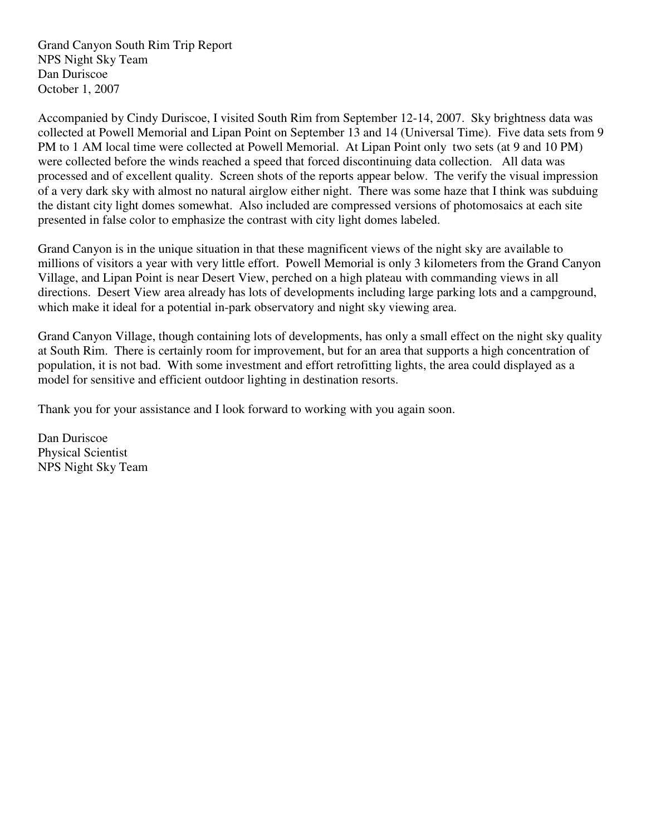Grand Canyon South Rim Trip Report NPS Night Sky Team Dan Duriscoe October 1, 2007

Accompanied by Cindy Duriscoe, I visited South Rim from September 12-14, 2007. Sky brightness data was collected at Powell Memorial and Lipan Point on September 13 and 14 (Universal Time). Five data sets from 9 PM to 1 AM local time were collected at Powell Memorial. At Lipan Point only two sets (at 9 and 10 PM) were collected before the winds reached a speed that forced discontinuing data collection. All data was processed and of excellent quality. Screen shots of the reports appear below. The verify the visual impression of a very dark sky with almost no natural airglow either night. There was some haze that I think was subduing the distant city light domes somewhat. Also included are compressed versions of photomosaics at each site presented in false color to emphasize the contrast with city light domes labeled.

Grand Canyon is in the unique situation in that these magnificent views of the night sky are available to millions of visitors a year with very little effort. Powell Memorial is only 3 kilometers from the Grand Canyon Village, and Lipan Point is near Desert View, perched on a high plateau with commanding views in all directions. Desert View area already has lots of developments including large parking lots and a campground, which make it ideal for a potential in-park observatory and night sky viewing area.

Grand Canyon Village, though containing lots of developments, has only a small effect on the night sky quality at South Rim. There is certainly room for improvement, but for an area that supports a high concentration of population, it is not bad. With some investment and effort retrofitting lights, the area could displayed as a model for sensitive and efficient outdoor lighting in destination resorts.

Thank you for your assistance and I look forward to working with you again soon.

Dan Duriscoe Physical Scientist NPS Night Sky Team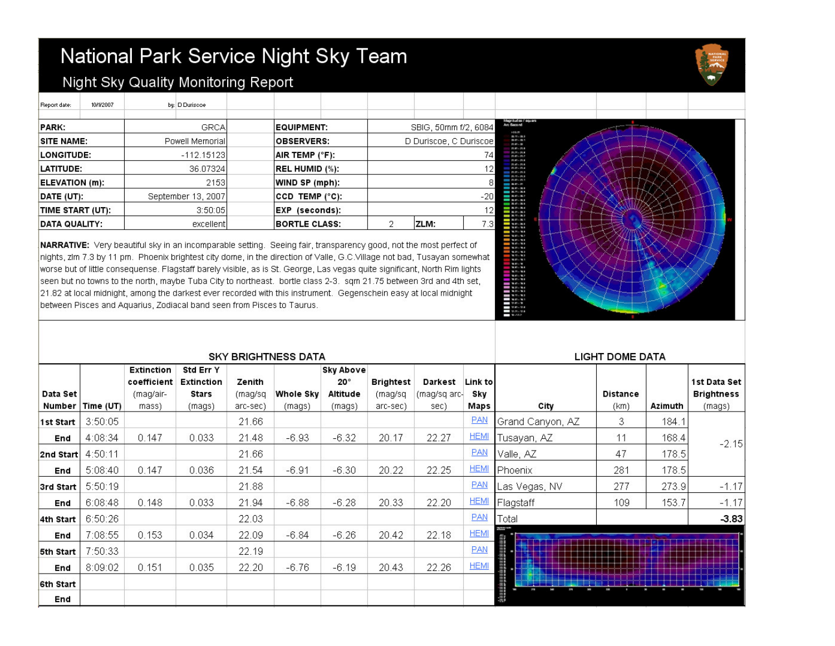## National Park Service Night Sky Team

the contract of the contract of



### Night Sky Quality Monitoring Report

| Report date:          | 10/1/2007 | by: D Duriscoe     |                       |    |                        |                 |  |  |
|-----------------------|-----------|--------------------|-----------------------|----|------------------------|-----------------|--|--|
| <b>PARK:</b>          |           | <b>GRCA</b>        | <b>EQUIPMENT:</b>     |    | SBIG, 50mm f/2, 6084   |                 |  |  |
| SITE NAME:            |           | Powell Memorial    | <b>OBSERVERS:</b>     |    | D Duriscoe, C Duriscoe |                 |  |  |
| <b>LONGITUDE:</b>     |           | $-112.15123$       | AIR TEMP (°F):        |    | 74                     |                 |  |  |
| LATITUDE:             |           | 36.07324           | <b>REL HUMID (%):</b> | 12 |                        |                 |  |  |
| <b>ELEVATION (m):</b> |           | 2153               | WIND SP (mph):        |    | $\mathbf{8}$           |                 |  |  |
| DATE (UT):            |           | September 13, 2007 | CCD TEMP (°C):        |    |                        | $-20$           |  |  |
| TIME START (UT):      |           | 3:50:05            | (seconds):<br>EXP     |    |                        | 12 <sub>1</sub> |  |  |
| <b>DATA QUALITY:</b>  |           | excellent          | <b>BORTLE CLASS:</b>  | 2  | ZLM:                   | 7.3             |  |  |

NARRATIVE: Very beautiful sky in an incomparable setting. Seeing fair, transparency good, not the most perfect of nights, zlm 7.3 by 11 pm. Phoenix brightest city dome, in the direction of Valle, G.C.Village not bad, Tusayan somewhat worse but of little consequense. Flagstaff barely visible, as is St. George, Las vegas quite significant, North Rim lights seen but no towns to the north, maybe Tuba City to northeast. bortle class 2-3. sqm 21.75 between 3rd and 4th set, 21.82 at local midnight, among the darkest ever recorded with this instrument. Gegenschein easy at local midnight between Pisces and Aquarius, Zodiacal band seen from Pisces to Taurus.



|                    |           |                                                        | <b>SKY BRIGHTNESS DATA</b>                        | <b>LIGHT DOME DATA</b>        |                     |                                                      |                                  |                                 |                        |                  |                  |         |                                             |
|--------------------|-----------|--------------------------------------------------------|---------------------------------------------------|-------------------------------|---------------------|------------------------------------------------------|----------------------------------|---------------------------------|------------------------|------------------|------------------|---------|---------------------------------------------|
| Data Set<br>Number | Time (UT) | <b>Extinction</b><br>coefficient<br>(mag/air-<br>mass) | Std Err Y<br><b>Extinction</b><br>Stars<br>(mags) | Zenith<br>(mag/sq<br>arc-sec) | Whole Sky<br>(mags) | <b>Sky Above</b><br>$20^\circ$<br>Altitude<br>(mags) | Brightest<br>(mag/sq<br>arc-sec) | Darkest<br>(mag/sq arc-<br>sec) | Link to<br>Sky<br>Maps | City             | Distance<br>(km) | Azimuth | 1st Data Set<br><b>Brightness</b><br>(mags) |
| 1st Start          | 3:50:05   |                                                        |                                                   | 21.66                         |                     |                                                      |                                  |                                 | <b>PAN</b>             | Grand Canyon, AZ | 3                | 184.1   |                                             |
| End                | 4:08:34   | 0.147                                                  | 0.033                                             | 21.48                         | $-6.93$             | $-6.32$                                              | 20.17                            | 22.27                           | <b>HEMI</b>            | Tusayan, AZ      | 11               | 168.4   | $-2.15$                                     |
| 2nd Start          | 4:50:11   |                                                        |                                                   | 21.66                         |                     |                                                      |                                  |                                 | <b>PAN</b>             | Valle, AZ        | 47               | 178.5   |                                             |
| End                | 5:08:40   | 0.147                                                  | 0.036                                             | 21.54                         | $-6.91$             | $-6.30$                                              | 20.22                            | 22.25                           | <b>HEMI</b>            | Phoenix          | 281              | 178.5   |                                             |
| 3rd Start          | 5:50:19   |                                                        |                                                   | 21.88                         |                     |                                                      |                                  |                                 | <b>PAN</b>             | Las Vegas, NV    | 277              | 273.9   | $-1.17$                                     |
| End                | 6:08:48   | 0.148                                                  | 0.033                                             | 21.94                         | $-6.88$             | $-6.28$                                              | 20.33                            | 22.20                           | <b>HEMI</b>            | Flagstaff        | 109              | 153.7   | $-1.17$                                     |
| 4th Start          | 6:50:26   |                                                        |                                                   | 22.03                         |                     |                                                      |                                  |                                 | <b>PAN</b>             | Total            |                  |         | $-3.83$                                     |
| End                | 7:08:55   | 0.153                                                  | 0.034                                             | 22.09                         | $-6.84$             | $-6.26$                                              | 20.42                            | 22.18                           | <b>HEMI</b>            |                  |                  |         |                                             |
| 5th Start          | 7:50:33   |                                                        |                                                   | 22.19                         |                     |                                                      |                                  |                                 | <b>PAN</b>             |                  |                  |         |                                             |
| End                | 8:09:02   | 0.151                                                  | 0.035                                             | 22.20                         | $-6.76$             | $-6.19$                                              | 20.43                            | 22.26                           | <b>HEMI</b>            |                  |                  |         |                                             |
| 6th Start          |           |                                                        |                                                   |                               |                     |                                                      |                                  |                                 |                        |                  |                  |         |                                             |
| End                |           |                                                        |                                                   |                               |                     |                                                      |                                  |                                 |                        |                  |                  |         |                                             |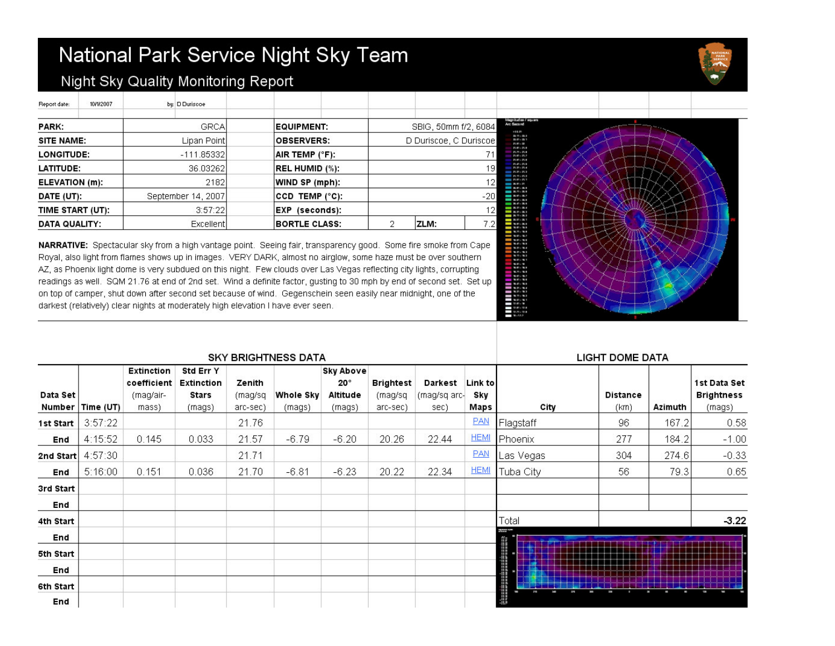# National Park Service Night Sky Team



#### Night Sky Quality Monitoring Report

<u> La Carlo de la Carlo de la Carlo de la Carlo de la Carlo de la Carlo de la Carlo de la Carlo de la Carlo de l</u>

| Heport date:      | 10/1/2007                        |                                   | <b>by:</b> D Duriscoe |  |                      |  |                              |      |          |  |
|-------------------|----------------------------------|-----------------------------------|-----------------------|--|----------------------|--|------------------------------|------|----------|--|
| <b>PARK:</b>      | <b>GRCA</b><br><b>EQUIPMENT:</b> |                                   | SBIG, 50mm f/2, 6084  |  |                      |  |                              |      |          |  |
| SITE NAME:        |                                  |                                   | Lipan Point           |  | <b>OBSERVERS:</b>    |  | D Duriscoe, C Duriscoe<br>71 |      |          |  |
| <b>LONGITUDE:</b> |                                  |                                   | $-111.85332$          |  | AIR TEMP (°F):       |  |                              |      |          |  |
| <b>LATITUDE:</b>  |                                  | 36.03262<br><b>REL HUMID (%):</b> |                       |  |                      |  | 19                           |      |          |  |
| ELEVATION (m):    |                                  |                                   | 2182                  |  | WIND SP (mph):       |  | 12                           |      |          |  |
| DATE (UT):        |                                  |                                   | September 14, 2007    |  | CCD TEMP (°C):       |  | $-20$                        |      |          |  |
| TIME START (UT):  |                                  |                                   | 3:57:22               |  | EXP (seconds):       |  | 12                           |      |          |  |
| DATA QUALITY:     |                                  |                                   | Excellent             |  | <b>BORTLE CLASS:</b> |  | 2                            | ZLM: | 7.2<br>I |  |

TT 1

NARRATIVE: Spectacular sky from a high vantage point. Seeing fair, transparency good. Some fire smoke from Cape Royal, also light from flames shows up in images. VERY DARK, almost no airglow, some haze must be over southern AZ, as Phoenix light dome is very subdued on this night. Few clouds over Las Vegas reflecting city lights, corrupting readings as well. SQM 21.76 at end of 2nd set. Wind a definite factor, gusting to 30 mph by end of second set. Set up on top of camper, shut down after second set because of wind. Gegenschein seen easily near midnight, one of the darkest (relatively) clear nights at moderately high elevation I have ever seen.



| <b>SKY BRIGHTNESS DATA</b> |                    |                                                 |                                            |                               |                            |                                                        |                                  |                                 |                        | <b>LIGHT DOME DATA</b> |                         |         |                                             |
|----------------------------|--------------------|-------------------------------------------------|--------------------------------------------|-------------------------------|----------------------------|--------------------------------------------------------|----------------------------------|---------------------------------|------------------------|------------------------|-------------------------|---------|---------------------------------------------|
| Data Set                   | Number   Time (UT) | Extinction<br>coefficient<br>(mag/air-<br>mass) | Std Err Y<br>Extinction<br>Stars<br>(mags) | Zenith<br>(mag/sq<br>arc-sec) | <b>Whole Sky</b><br>(mags) | <b>Sky Above</b><br>$20^{\circ}$<br>Altitude<br>(mags) | Brightest<br>(mag/sq<br>arc-sec) | Darkest<br>(mag/sq arc-<br>sec) | Link to<br>Sky<br>Maps | City                   | <b>Distance</b><br>(km) | Azimuth | 1st Data Set<br><b>Brightness</b><br>(mags) |
| 1st Start                  | 3:57:22            |                                                 |                                            | 21.76                         |                            |                                                        |                                  |                                 | <b>PAN</b>             | Flagstaff              | 96                      | 167.2   | 0.58                                        |
| End                        | 4:15:52            | 0.145                                           | 0.033                                      | 21.57                         | $-6.79$                    | $-6.20$                                                | 20.26                            | 22.44                           | <b>HEMI</b>            | <b>Phoenix</b>         | 277                     | 184.2   | $-1.00$                                     |
| 2nd Start                  | 4:57:30            |                                                 |                                            | 21.71                         |                            |                                                        |                                  |                                 | <b>PAN</b>             | Las Vegas              | 304                     | 274.6   | $-0.33$                                     |
| End                        | 5:16:00            | 0.151                                           | 0.036                                      | 21.70                         | $-6.81$                    | $-6.23$                                                | 20.22                            | 22.34                           | <b>HEMI</b>            | Tuba City              | 56                      | 79.3    | 0.65                                        |
| 3rd Start                  |                    |                                                 |                                            |                               |                            |                                                        |                                  |                                 |                        |                        |                         |         |                                             |
| End                        |                    |                                                 |                                            |                               |                            |                                                        |                                  |                                 |                        |                        |                         |         |                                             |
| 4th Start                  |                    |                                                 |                                            |                               |                            |                                                        |                                  |                                 |                        | Total                  |                         |         | $-3.22$                                     |
| End                        |                    |                                                 |                                            |                               |                            |                                                        |                                  |                                 |                        | i<br>Personal          |                         |         |                                             |
| 5th Start                  |                    |                                                 |                                            |                               |                            |                                                        |                                  |                                 |                        |                        |                         |         |                                             |
| End                        |                    |                                                 |                                            |                               |                            |                                                        |                                  |                                 |                        |                        |                         |         |                                             |
| 6th Start                  |                    |                                                 |                                            |                               |                            |                                                        |                                  |                                 |                        |                        |                         |         |                                             |
| End                        |                    |                                                 |                                            |                               |                            |                                                        |                                  |                                 |                        | 語語                     |                         |         |                                             |

T.